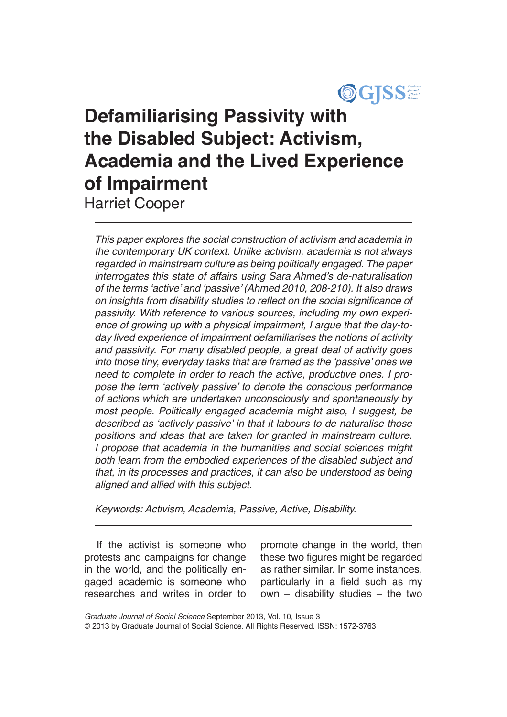

# **Defamiliarising Passivity with the Disabled Subject: Activism, Academia and the Lived Experience of Impairment**

Harriet Cooper

*This paper explores the social construction of activism and academia in the contemporary UK context. Unlike activism, academia is not always regarded in mainstream culture as being politically engaged. The paper*  interrogates this state of affairs using Sara Ahmed's de-naturalisation of the terms 'active' and 'passive' (Ahmed 2010, 208-210). It also draws on insights from disability studies to reflect on the social significance of *passivity. With reference to various sources, including my own experi*ence of growing up with a physical impairment, I argue that the day-to*day lived experience of impairment defamiliarises the notions of activity and passivity. For many disabled people, a great deal of activity goes*  into those tiny, everyday tasks that are framed as the 'passive' ones we need to complete in order to reach the active, productive ones. I propose the term 'actively passive' to denote the conscious performance *of actions which are undertaken unconsciously and spontaneously by*  most people. Politically engaged academia might also, I suggest, be described as 'actively passive' in that it labours to de-naturalise those *positions and ideas that are taken for granted in mainstream culture.*  I propose that academia in the humanities and social sciences might *both learn from the embodied experiences of the disabled subject and that, in its processes and practices, it can also be understood as being aligned and allied with this subject.*

*Keywords: Activism, Academia, Passive, Active, Disability.*

If the activist is someone who protests and campaigns for change in the world, and the politically engaged academic is someone who researches and writes in order to promote change in the world, then these two figures might be regarded as rather similar. In some instances, particularly in a field such as my own – disability studies – the two

*Graduate Journal of Social Science* September 2013, Vol. 10, Issue 3 © 2013 by Graduate Journal of Social Science. All Rights Reserved. ISSN: 1572-3763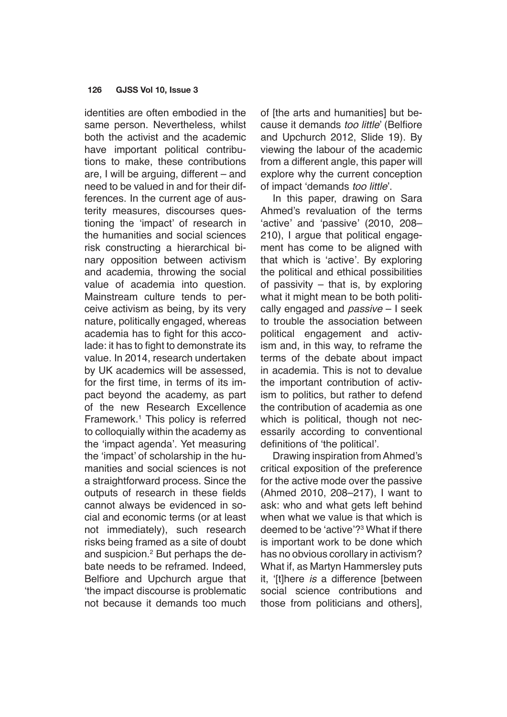identities are often embodied in the same person. Nevertheless, whilst both the activist and the academic have important political contributions to make, these contributions are, I will be arguing, different – and need to be valued in and for their differences. In the current age of austerity measures, discourses questioning the 'impact' of research in the humanities and social sciences risk constructing a hierarchical binary opposition between activism and academia, throwing the social value of academia into question. Mainstream culture tends to perceive activism as being, by its very nature, politically engaged, whereas academia has to fight for this accolade: it has to fight to demonstrate its value. In 2014, research undertaken by UK academics will be assessed, for the first time, in terms of its impact beyond the academy, as part of the new Research Excellence Framework.1 This policy is referred to colloquially within the academy as the 'impact agenda'. Yet measuring the 'impact' of scholarship in the humanities and social sciences is not a straightforward process. Since the outputs of research in these fields cannot always be evidenced in social and economic terms (or at least not immediately), such research risks being framed as a site of doubt and suspicion.<sup>2</sup> But perhaps the debate needs to be reframed. Indeed, Belfiore and Upchurch argue that 'the impact discourse is problematic not because it demands too much

of [the arts and humanities] but because it demands *too little*' (Belfiore and Upchurch 2012, Slide 19). By viewing the labour of the academic from a different angle, this paper will explore why the current conception of impact 'demands *too little*'.

In this paper, drawing on Sara Ahmed's revaluation of the terms 'active' and 'passive' (2010, 208– 210), I argue that political engagement has come to be aligned with that which is 'active'. By exploring the political and ethical possibilities of passivity – that is, by exploring what it might mean to be both politically engaged and *passive* – I seek to trouble the association between political engagement and activism and, in this way, to reframe the terms of the debate about impact in academia. This is not to devalue the important contribution of activism to politics, but rather to defend the contribution of academia as one which is political, though not necessarily according to conventional definitions of 'the political'.

Drawing inspiration from Ahmed's critical exposition of the preference for the active mode over the passive (Ahmed 2010, 208–217), I want to ask: who and what gets left behind when what we value is that which is deemed to be 'active'?<sup>3</sup> What if there is important work to be done which has no obvious corollary in activism? What if, as Martyn Hammersley puts it, '[t]here *is* a difference [between social science contributions and those from politicians and others],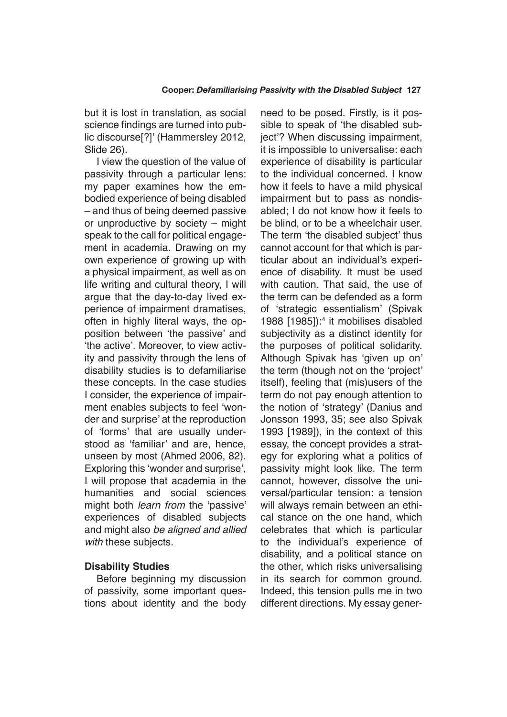but it is lost in translation, as social science findings are turned into public discourse[?]' (Hammersley 2012, Slide 26).

I view the question of the value of passivity through a particular lens: my paper examines how the embodied experience of being disabled – and thus of being deemed passive or unproductive by society – might speak to the call for political engagement in academia. Drawing on my own experience of growing up with a physical impairment, as well as on life writing and cultural theory, I will argue that the day-to-day lived experience of impairment dramatises, often in highly literal ways, the opposition between 'the passive' and 'the active'. Moreover, to view activity and passivity through the lens of disability studies is to defamiliarise these concepts. In the case studies I consider, the experience of impairment enables subjects to feel 'wonder and surprise' at the reproduction of 'forms' that are usually understood as 'familiar' and are, hence, unseen by most (Ahmed 2006, 82). Exploring this 'wonder and surprise', I will propose that academia in the humanities and social sciences might both *learn from* the 'passive' experiences of disabled subjects and might also *be aligned and allied with* these subjects.

## **Disability Studies**

Before beginning my discussion of passivity, some important questions about identity and the body need to be posed. Firstly, is it possible to speak of 'the disabled subject'? When discussing impairment, it is impossible to universalise: each experience of disability is particular to the individual concerned. I know how it feels to have a mild physical impairment but to pass as nondisabled; I do not know how it feels to be blind, or to be a wheelchair user. The term 'the disabled subject' thus cannot account for that which is particular about an individual's experience of disability. It must be used with caution. That said, the use of the term can be defended as a form of 'strategic essentialism' (Spivak 1988 [1985]):<sup>4</sup> it mobilises disabled subjectivity as a distinct identity for the purposes of political solidarity. Although Spivak has 'given up on' the term (though not on the 'project' itself), feeling that (mis)users of the term do not pay enough attention to the notion of 'strategy' (Danius and Jonsson 1993, 35; see also Spivak 1993 [1989]), in the context of this essay, the concept provides a strategy for exploring what a politics of passivity might look like. The term cannot, however, dissolve the universal/particular tension: a tension will always remain between an ethical stance on the one hand, which celebrates that which is particular to the individual's experience of disability, and a political stance on the other, which risks universalising in its search for common ground. Indeed, this tension pulls me in two different directions. My essay gener-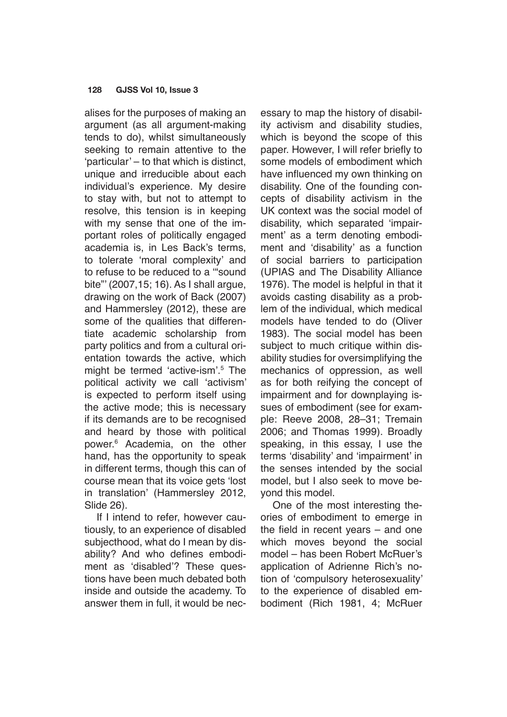alises for the purposes of making an argument (as all argument-making tends to do), whilst simultaneously seeking to remain attentive to the 'particular' – to that which is distinct, unique and irreducible about each individual's experience. My desire to stay with, but not to attempt to resolve, this tension is in keeping with my sense that one of the important roles of politically engaged academia is, in Les Back's terms, to tolerate 'moral complexity' and to refuse to be reduced to a '"sound bite"' (2007,15; 16). As I shall argue, drawing on the work of Back (2007) and Hammersley (2012), these are some of the qualities that differentiate academic scholarship from party politics and from a cultural orientation towards the active, which might be termed 'active-ism'.<sup>5</sup> The political activity we call 'activism' is expected to perform itself using the active mode; this is necessary if its demands are to be recognised and heard by those with political power.6 Academia, on the other hand, has the opportunity to speak in different terms, though this can of course mean that its voice gets 'lost in translation' (Hammersley 2012, Slide 26).

If I intend to refer, however cautiously, to an experience of disabled subjecthood, what do I mean by disability? And who defines embodiment as 'disabled'? These questions have been much debated both inside and outside the academy. To answer them in full, it would be necessary to map the history of disability activism and disability studies, which is beyond the scope of this paper. However, I will refer briefly to some models of embodiment which have influenced my own thinking on disability. One of the founding concepts of disability activism in the UK context was the social model of disability, which separated 'impairment' as a term denoting embodiment and 'disability' as a function of social barriers to participation (UPIAS and The Disability Alliance 1976). The model is helpful in that it avoids casting disability as a problem of the individual, which medical models have tended to do (Oliver 1983). The social model has been subject to much critique within disability studies for oversimplifying the mechanics of oppression, as well as for both reifying the concept of impairment and for downplaying issues of embodiment (see for example: Reeve 2008, 28–31; Tremain 2006; and Thomas 1999). Broadly speaking, in this essay, I use the terms 'disability' and 'impairment' in the senses intended by the social model, but I also seek to move beyond this model.

One of the most interesting theories of embodiment to emerge in the field in recent years – and one which moves beyond the social model – has been Robert McRuer's application of Adrienne Rich's notion of 'compulsory heterosexuality' to the experience of disabled embodiment (Rich 1981, 4; McRuer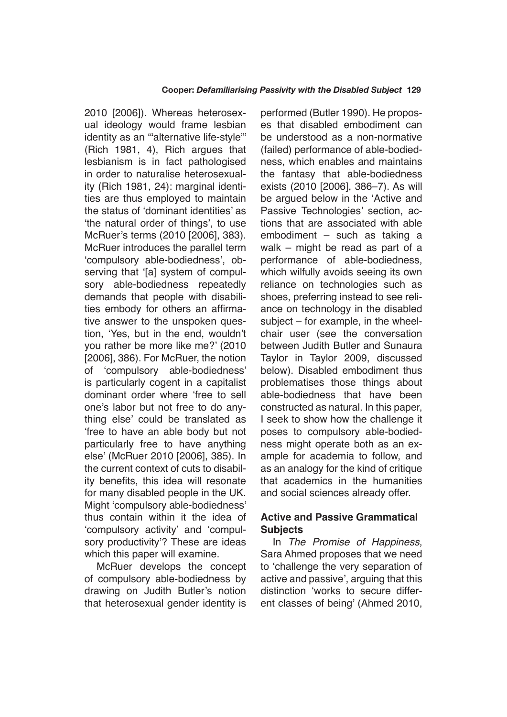2010 [2006]). Whereas heterosexual ideology would frame lesbian identity as an "alternative life-style" (Rich 1981, 4), Rich argues that lesbianism is in fact pathologised in order to naturalise heterosexuality (Rich 1981, 24): marginal identities are thus employed to maintain the status of 'dominant identities' as 'the natural order of things', to use McRuer's terms (2010 [2006], 383). McRuer introduces the parallel term 'compulsory able-bodiedness', observing that '[a] system of compulsory able-bodiedness repeatedly demands that people with disabilities embody for others an affirmative answer to the unspoken question, 'Yes, but in the end, wouldn't you rather be more like me?' (2010 [2006], 386). For McRuer, the notion of 'compulsory able-bodiedness' is particularly cogent in a capitalist dominant order where 'free to sell one's labor but not free to do anything else' could be translated as 'free to have an able body but not particularly free to have anything else' (McRuer 2010 [2006], 385). In the current context of cuts to disability benefits, this idea will resonate for many disabled people in the UK. Might 'compulsory able-bodiedness' thus contain within it the idea of 'compulsory activity' and 'compulsory productivity'? These are ideas which this paper will examine.

McRuer develops the concept of compulsory able-bodiedness by drawing on Judith Butler's notion that heterosexual gender identity is performed (Butler 1990). He proposes that disabled embodiment can be understood as a non-normative (failed) performance of able-bodiedness, which enables and maintains the fantasy that able-bodiedness exists (2010 [2006], 386–7). As will be argued below in the 'Active and Passive Technologies' section, actions that are associated with able embodiment – such as taking a walk – might be read as part of a performance of able-bodiedness, which wilfully avoids seeing its own reliance on technologies such as shoes, preferring instead to see reliance on technology in the disabled subject – for example, in the wheelchair user (see the conversation between Judith Butler and Sunaura Taylor in Taylor 2009, discussed below). Disabled embodiment thus problematises those things about able-bodiedness that have been constructed as natural. In this paper, I seek to show how the challenge it poses to compulsory able-bodiedness might operate both as an example for academia to follow, and as an analogy for the kind of critique that academics in the humanities and social sciences already offer.

## **Active and Passive Grammatical Subjects**

In *The Promise of Happiness*, Sara Ahmed proposes that we need to 'challenge the very separation of active and passive', arguing that this distinction 'works to secure different classes of being' (Ahmed 2010,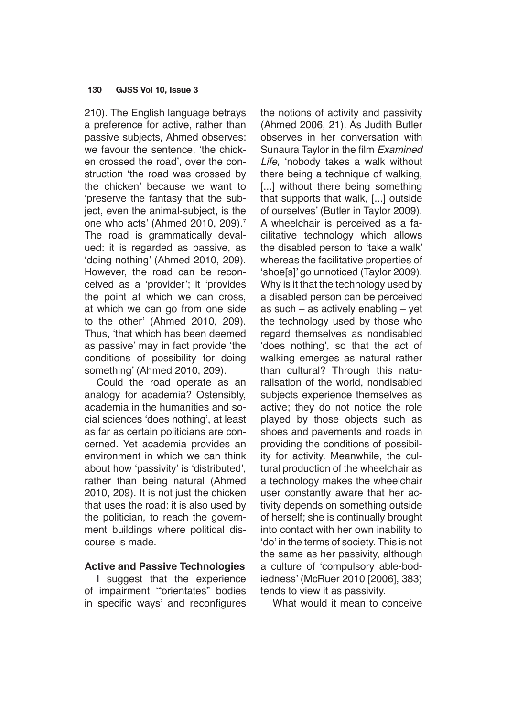210). The English language betrays a preference for active, rather than passive subjects, Ahmed observes: we favour the sentence, 'the chicken crossed the road', over the construction 'the road was crossed by the chicken' because we want to 'preserve the fantasy that the subject, even the animal-subject, is the one who acts' (Ahmed 2010, 209).<sup>7</sup> The road is grammatically devalued: it is regarded as passive, as 'doing nothing' (Ahmed 2010, 209). However, the road can be reconceived as a 'provider'; it 'provides the point at which we can cross, at which we can go from one side to the other' (Ahmed 2010, 209). Thus, 'that which has been deemed as passive' may in fact provide 'the conditions of possibility for doing something' (Ahmed 2010, 209).

Could the road operate as an analogy for academia? Ostensibly, academia in the humanities and social sciences 'does nothing', at least as far as certain politicians are concerned. Yet academia provides an environment in which we can think about how 'passivity' is 'distributed', rather than being natural (Ahmed 2010, 209). It is not just the chicken that uses the road: it is also used by the politician, to reach the government buildings where political discourse is made.

# **Active and Passive Technologies**

I suggest that the experience of impairment '"orientates" bodies in specific ways' and reconfigures the notions of activity and passivity (Ahmed 2006, 21). As Judith Butler observes in her conversation with Sunaura Taylor in the film *Examined Life,* 'nobody takes a walk without there being a technique of walking, [...] without there being something that supports that walk, [...] outside of ourselves' (Butler in Taylor 2009). A wheelchair is perceived as a facilitative technology which allows the disabled person to 'take a walk' whereas the facilitative properties of 'shoe[s]' go unnoticed (Taylor 2009). Why is it that the technology used by a disabled person can be perceived as such – as actively enabling – yet the technology used by those who regard themselves as nondisabled 'does nothing', so that the act of walking emerges as natural rather than cultural? Through this naturalisation of the world, nondisabled subjects experience themselves as active; they do not notice the role played by those objects such as shoes and pavements and roads in providing the conditions of possibility for activity. Meanwhile, the cultural production of the wheelchair as a technology makes the wheelchair user constantly aware that her activity depends on something outside of herself; she is continually brought into contact with her own inability to 'do' in the terms of society. This is not the same as her passivity, although a culture of 'compulsory able-bodiedness' (McRuer 2010 [2006], 383) tends to view it as passivity.

What would it mean to conceive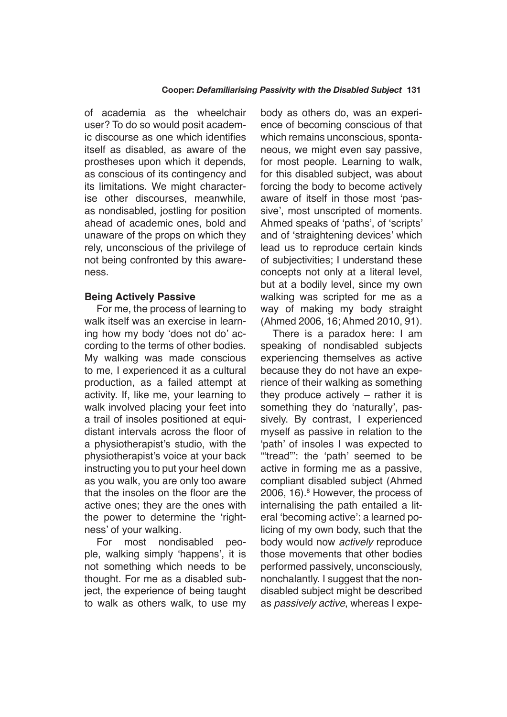of academia as the wheelchair user? To do so would posit academic discourse as one which identifies itself as disabled, as aware of the prostheses upon which it depends, as conscious of its contingency and its limitations. We might characterise other discourses, meanwhile, as nondisabled, jostling for position ahead of academic ones, bold and unaware of the props on which they rely, unconscious of the privilege of not being confronted by this awareness.

# **Being Actively Passive**

For me, the process of learning to walk itself was an exercise in learning how my body 'does not do' according to the terms of other bodies. My walking was made conscious to me, I experienced it as a cultural production, as a failed attempt at activity. If, like me, your learning to walk involved placing your feet into a trail of insoles positioned at equidistant intervals across the floor of a physiotherapist's studio, with the physiotherapist's voice at your back instructing you to put your heel down as you walk, you are only too aware that the insoles on the floor are the active ones; they are the ones with the power to determine the 'rightness' of your walking.

For most nondisabled people, walking simply 'happens', it is not something which needs to be thought. For me as a disabled subject, the experience of being taught to walk as others walk, to use my body as others do, was an experience of becoming conscious of that which remains unconscious, spontaneous, we might even say passive, for most people. Learning to walk, for this disabled subject, was about forcing the body to become actively aware of itself in those most 'passive', most unscripted of moments. Ahmed speaks of 'paths', of 'scripts' and of 'straightening devices' which lead us to reproduce certain kinds of subjectivities; I understand these concepts not only at a literal level, but at a bodily level, since my own walking was scripted for me as a way of making my body straight (Ahmed 2006, 16; Ahmed 2010, 91).

There is a paradox here: I am speaking of nondisabled subjects experiencing themselves as active because they do not have an experience of their walking as something they produce actively – rather it is something they do 'naturally', passively. By contrast, I experienced myself as passive in relation to the 'path' of insoles I was expected to '"tread"': the 'path' seemed to be active in forming me as a passive, compliant disabled subject (Ahmed 2006, 16).<sup>8</sup> However, the process of internalising the path entailed a literal 'becoming active': a learned policing of my own body, such that the body would now *actively* reproduce those movements that other bodies performed passively, unconsciously, nonchalantly. I suggest that the nondisabled subject might be described as *passively active*, whereas I expe-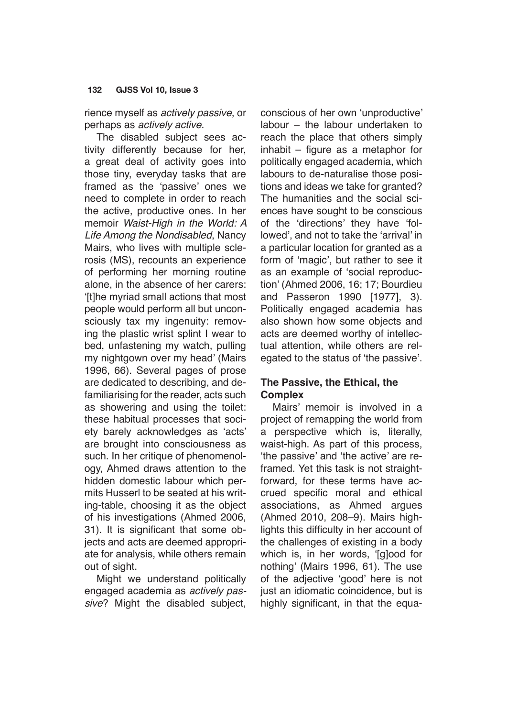rience myself as *actively passive*, or perhaps as *actively active*.

The disabled subject sees activity differently because for her, a great deal of activity goes into those tiny, everyday tasks that are framed as the 'passive' ones we need to complete in order to reach the active, productive ones. In her memoir Waist-High in the World: A *Life Among the Nondisabled*, Nancy Mairs, who lives with multiple sclerosis (MS), recounts an experience of performing her morning routine alone, in the absence of her carers: '[t]he myriad small actions that most people would perform all but unconsciously tax my ingenuity: removing the plastic wrist splint I wear to bed, unfastening my watch, pulling my nightgown over my head' (Mairs 1996, 66). Several pages of prose are dedicated to describing, and defamiliarising for the reader, acts such as showering and using the toilet: these habitual processes that society barely acknowledges as 'acts' are brought into consciousness as such. In her critique of phenomenology, Ahmed draws attention to the hidden domestic labour which permits Husserl to be seated at his writing-table, choosing it as the object of his investigations (Ahmed 2006, 31). It is significant that some objects and acts are deemed appropriate for analysis, while others remain out of sight.

Might we understand politically engaged academia as *actively passive*? Might the disabled subject, conscious of her own 'unproductive' labour – the labour undertaken to reach the place that others simply inhabit – figure as a metaphor for politically engaged academia, which labours to de-naturalise those positions and ideas we take for granted? The humanities and the social sciences have sought to be conscious of the 'directions' they have 'followed', and not to take the 'arrival' in a particular location for granted as a form of 'magic', but rather to see it as an example of 'social reproduction' (Ahmed 2006, 16; 17; Bourdieu and Passeron 1990 [1977], 3). Politically engaged academia has also shown how some objects and acts are deemed worthy of intellectual attention, while others are relegated to the status of 'the passive'.

# **The Passive, the Ethical, the Complex**

Mairs' memoir is involved in a project of remapping the world from a perspective which is, literally, waist-high. As part of this process, 'the passive' and 'the active' are reframed. Yet this task is not straightforward, for these terms have accrued specific moral and ethical associations, as Ahmed argues (Ahmed 2010, 208–9). Mairs highlights this difficulty in her account of the challenges of existing in a body which is, in her words, '[g]ood for nothing' (Mairs 1996, 61). The use of the adjective 'good' here is not just an idiomatic coincidence, but is highly significant, in that the equa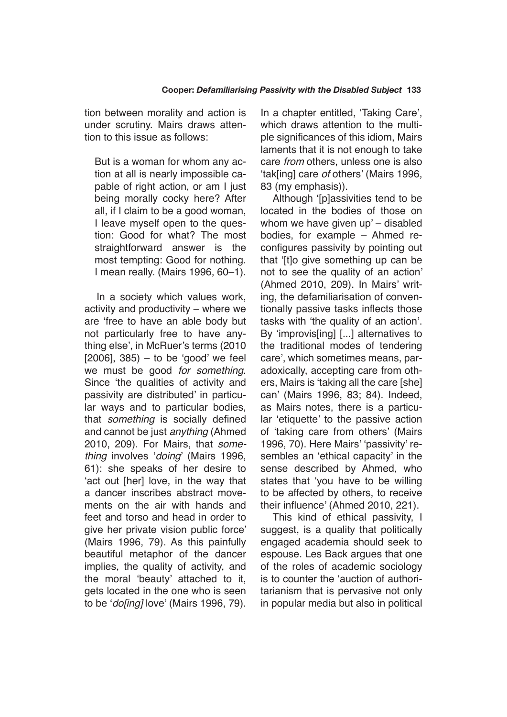tion between morality and action is under scrutiny. Mairs draws attention to this issue as follows:

But is a woman for whom any action at all is nearly impossible capable of right action, or am I just being morally cocky here? After all, if I claim to be a good woman, I leave myself open to the question: Good for what? The most straightforward answer is the most tempting: Good for nothing. I mean really. (Mairs 1996, 60–1).

In a society which values work, activity and productivity – where we are 'free to have an able body but not particularly free to have anything else', in McRuer's terms (2010  $[2006]$ , 385) – to be 'good' we feel we must be good *for something*. Since 'the qualities of activity and passivity are distributed' in particular ways and to particular bodies, that *something* is socially defined and cannot be just *anything* (Ahmed 2010, 209). For Mairs, that *something* involves '*doing*' (Mairs 1996, 61): she speaks of her desire to 'act out [her] love, in the way that a dancer inscribes abstract movements on the air with hands and feet and torso and head in order to give her private vision public force' (Mairs 1996, 79). As this painfully beautiful metaphor of the dancer implies, the quality of activity, and the moral 'beauty' attached to it, gets located in the one who is seen to be '*do[ing]* love' (Mairs 1996, 79).

In a chapter entitled, 'Taking Care', which draws attention to the multiple significances of this idiom, Mairs laments that it is not enough to take care *from* others, unless one is also 'tak[ing] care *of* others' (Mairs 1996, 83 (my emphasis)).

Although '[p]assivities tend to be located in the bodies of those on whom we have given up' – disabled bodies, for example – Ahmed reconfigures passivity by pointing out that '[t]o give something up can be not to see the quality of an action' (Ahmed 2010, 209). In Mairs' writing, the defamiliarisation of conventionally passive tasks inflects those tasks with 'the quality of an action'. By 'improvis[ing] [...] alternatives to the traditional modes of tendering care', which sometimes means, paradoxically, accepting care from others, Mairs is 'taking all the care [she] can' (Mairs 1996, 83; 84). Indeed, as Mairs notes, there is a particular 'etiquette' to the passive action of 'taking care from others' (Mairs 1996, 70). Here Mairs' 'passivity' resembles an 'ethical capacity' in the sense described by Ahmed, who states that 'you have to be willing to be affected by others, to receive their influence' (Ahmed 2010, 221).

This kind of ethical passivity, I suggest, is a quality that politically engaged academia should seek to espouse. Les Back argues that one of the roles of academic sociology is to counter the 'auction of authoritarianism that is pervasive not only in popular media but also in political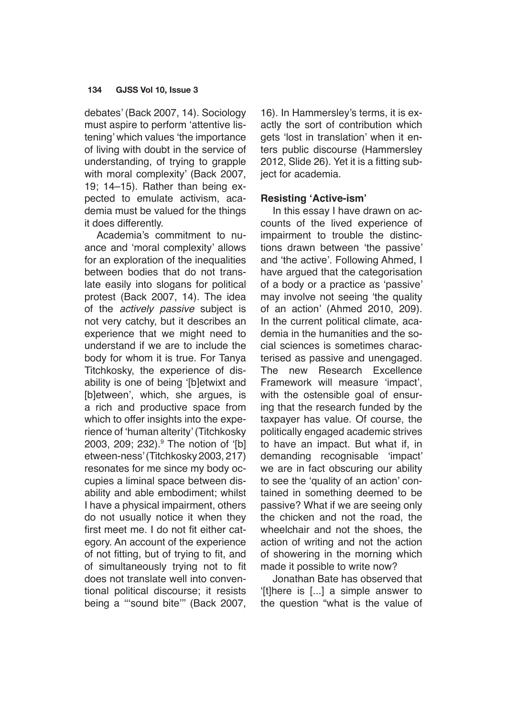debates' (Back 2007, 14). Sociology must aspire to perform 'attentive listening' which values 'the importance of living with doubt in the service of understanding, of trying to grapple with moral complexity' (Back 2007, 19; 14–15). Rather than being expected to emulate activism, academia must be valued for the things it does differently.

Academia's commitment to nuance and 'moral complexity' allows for an exploration of the inequalities between bodies that do not translate easily into slogans for political protest (Back 2007, 14). The idea of the *actively passive* subject is not very catchy, but it describes an experience that we might need to understand if we are to include the body for whom it is true. For Tanya Titchkosky, the experience of disability is one of being '[b]etwixt and [b]etween', which, she argues, is a rich and productive space from which to offer insights into the experience of 'human alterity' (Titchkosky 2003, 209; 232).9 The notion of '[b] etween-ness' (Titchkosky 2003, 217) resonates for me since my body occupies a liminal space between disability and able embodiment; whilst I have a physical impairment, others do not usually notice it when they first meet me. I do not fit either category. An account of the experience of not fitting, but of trying to fit, and of simultaneously trying not to fit does not translate well into conventional political discourse; it resists being a "'sound bite"' (Back 2007,

16). In Hammersley's terms, it is exactly the sort of contribution which gets 'lost in translation' when it enters public discourse (Hammersley 2012, Slide 26). Yet it is a fitting subject for academia.

## **Resisting 'Active-ism'**

In this essay I have drawn on accounts of the lived experience of impairment to trouble the distinctions drawn between 'the passive' and 'the active'. Following Ahmed, I have argued that the categorisation of a body or a practice as 'passive' may involve not seeing 'the quality of an action' (Ahmed 2010, 209). In the current political climate, academia in the humanities and the social sciences is sometimes characterised as passive and unengaged. The new Research Excellence Framework will measure 'impact', with the ostensible goal of ensuring that the research funded by the taxpayer has value. Of course, the politically engaged academic strives to have an impact. But what if, in demanding recognisable 'impact' we are in fact obscuring our ability to see the 'quality of an action' contained in something deemed to be passive? What if we are seeing only the chicken and not the road, the wheelchair and not the shoes, the action of writing and not the action of showering in the morning which made it possible to write now?

Jonathan Bate has observed that '[t]here is [...] a simple answer to the question "what is the value of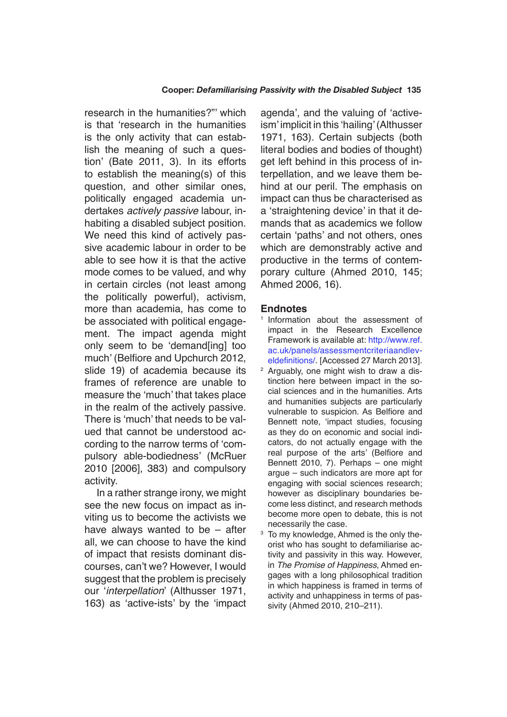research in the humanities?"' which is that 'research in the humanities is the only activity that can establish the meaning of such a question' (Bate 2011, 3). In its efforts to establish the meaning(s) of this question, and other similar ones, politically engaged academia undertakes *actively passive* labour, inhabiting a disabled subject position. We need this kind of actively passive academic labour in order to be able to see how it is that the active mode comes to be valued, and why in certain circles (not least among the politically powerful), activism, more than academia, has come to be associated with political engagement. The impact agenda might only seem to be 'demand[ing] too much' (Belfiore and Upchurch 2012, slide 19) of academia because its frames of reference are unable to measure the 'much' that takes place in the realm of the actively passive. There is 'much' that needs to be valued that cannot be understood according to the narrow terms of 'compulsory able-bodiedness' (McRuer 2010 [2006], 383) and compulsory activity.

In a rather strange irony, we might see the new focus on impact as inviting us to become the activists we have always wanted to be – after all, we can choose to have the kind of impact that resists dominant discourses, can't we? However, I would suggest that the problem is precisely our '*interpellation*' (Althusser 1971, 163) as 'active-ists' by the 'impact agenda', and the valuing of 'activeism' implicit in this 'hailing' (Althusser 1971, 163). Certain subjects (both literal bodies and bodies of thought) get left behind in this process of interpellation, and we leave them behind at our peril. The emphasis on impact can thus be characterised as a 'straightening device' in that it demands that as academics we follow certain 'paths' and not others, ones which are demonstrably active and productive in the terms of contemporary culture (Ahmed 2010, 145; Ahmed 2006, 16).

## **Endnotes**

- <sup>1</sup> Information about the assessment of impact in the Research Excellence Framework is available at: [http://www.ref.](http://www.ref.ac.uk/panels/assessmentcriteriaandleveldefinitions/) [ac.uk/panels/assessmentcriteriaandlev](http://www.ref.ac.uk/panels/assessmentcriteriaandleveldefinitions/)[eldefinitions/](http://www.ref.ac.uk/panels/assessmentcriteriaandleveldefinitions/). [Accessed 27 March 2013].
- <sup>2</sup> Arguably, one might wish to draw a distinction here between impact in the social sciences and in the humanities. Arts and humanities subjects are particularly vulnerable to suspicion. As Belfiore and Bennett note, 'impact studies, focusing as they do on economic and social indicators, do not actually engage with the real purpose of the arts' (Belfiore and Bennett 2010, 7). Perhaps – one might argue – such indicators are more apt for engaging with social sciences research; however as disciplinary boundaries become less distinct, and research methods become more open to debate, this is not necessarily the case.
- <sup>3</sup> To my knowledge, Ahmed is the only theorist who has sought to defamiliarise activity and passivity in this way. However, in *The Promise of Happiness*, Ahmed engages with a long philosophical tradition in which happiness is framed in terms of activity and unhappiness in terms of passivity (Ahmed 2010, 210–211).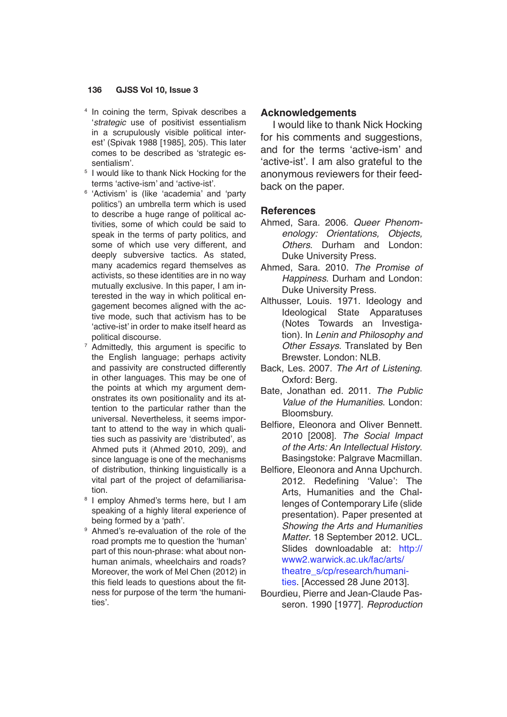- <sup>4</sup> In coining the term, Spivak describes a '*strategic* use of positivist essentialism in a scrupulously visible political interest' (Spivak 1988 [1985], 205). This later comes to be described as 'strategic essentialism'.
- <sup>5</sup> I would like to thank Nick Hocking for the terms 'active-ism' and 'active-ist'.
- <sup>6</sup> 'Activism' is (like 'academia' and 'party politics') an umbrella term which is used to describe a huge range of political activities, some of which could be said to speak in the terms of party politics, and some of which use very different, and deeply subversive tactics. As stated, many academics regard themselves as activists, so these identities are in no way mutually exclusive. In this paper, I am interested in the way in which political engagement becomes aligned with the active mode, such that activism has to be 'active-ist' in order to make itself heard as political discourse.
- $7$  Admittedly, this argument is specific to the English language; perhaps activity and passivity are constructed differently in other languages. This may be one of the points at which my argument demonstrates its own positionality and its attention to the particular rather than the universal. Nevertheless, it seems important to attend to the way in which qualities such as passivity are 'distributed', as Ahmed puts it (Ahmed 2010, 209), and since language is one of the mechanisms of distribution, thinking linguistically is a vital part of the project of defamiliarisation.
- <sup>8</sup> I employ Ahmed's terms here, but I am speaking of a highly literal experience of being formed by a 'path'.
- <sup>9</sup> Ahmed's re-evaluation of the role of the road prompts me to question the 'human' part of this noun-phrase: what about nonhuman animals, wheelchairs and roads? Moreover, the work of Mel Chen (2012) in this field leads to questions about the fitness for purpose of the term 'the humanities'.

## **Acknowledgements**

I would like to thank Nick Hocking for his comments and suggestions, and for the terms 'active-ism' and 'active-ist'. I am also grateful to the anonymous reviewers for their feedback on the paper.

## **References**

- Ahmed, Sara. 2006. *Queer Phenomenology: Orientations, Objects, Others*. Durham and London: Duke University Press.
- Ahmed, Sara. 2010. *The Promise of Happiness*. Durham and London: Duke University Press.
- Althusser, Louis. 1971. Ideology and Ideological State Apparatuses (Notes Towards an Investigation). In *Lenin and Philosophy and Other Essays*. Translated by Ben Brewster. London: NLB.
- Back, Les. 2007. *The Art of Listening*. Oxford: Berg.
- Bate, Jonathan ed. 2011. *The Public Value of the Humanities*. London: Bloomsbury.
- Belfiore, Eleonora and Oliver Bennett. 2010 [2008]. The Social Impact of the Arts: An Intellectual History. Basingstoke: Palgrave Macmillan.
- Belfiore, Eleonora and Anna Upchurch. 2012. Redefining 'Value': The Arts, Humanities and the Challenges of Contemporary Life (slide presentation). Paper presented at *Showing the Arts and Humanities Matter*. 18 September 2012. UCL. Slides downloadable at: [http://](http://www2.warwick.ac.uk/fac/arts/theatre_s/cp/research/humanities) [www2.warwick.ac.uk/fac/arts/](http://www2.warwick.ac.uk/fac/arts/theatre_s/cp/research/humanities) [theatre\\_s/cp/research/humani](http://www2.warwick.ac.uk/fac/arts/theatre_s/cp/research/humanities)[ties](http://www2.warwick.ac.uk/fac/arts/theatre_s/cp/research/humanities). [Accessed 28 June 2013].
- Bourdieu, Pierre and Jean-Claude Passeron. 1990 [1977]. *Reproduction*